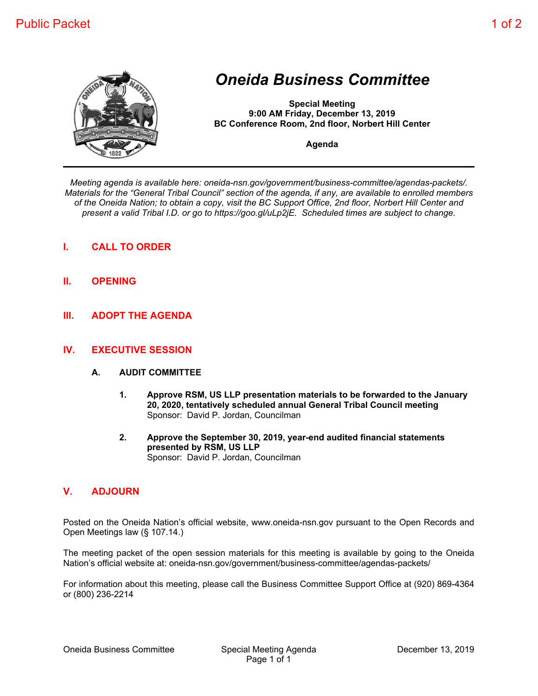

## *Oneida Business Committee*

**Special Meeting 9:00 AM Friday, December 13, 2019 BC Conference Room, 2nd floor, Norbert Hill Center**

**Agenda**

*Meeting agenda is available here: oneida-nsn.gov/government/business-committee/agendas-packets/. Materials for the "General Tribal Council" section of the agenda, if any, are available to enrolled members of the Oneida Nation; to obtain a copy, visit the BC Support Office, 2nd floor, Norbert Hill Center and present a valid Tribal I.D. or go to https://goo.gl/uLp2jE. Scheduled times are subject to change.*

- **I. CALL TO ORDER**
- **II. OPENING**
- **III. ADOPT THE AGENDA**

## **IV. EXECUTIVE SESSION**

## **A. AUDIT COMMITTEE**

- **1. Approve RSM, US LLP presentation materials to be forwarded to the January 20, 2020, tentatively scheduled annual General Tribal Council meeting** Sponsor: David P. Jordan, Councilman
- **2. Approve the September 30, 2019, year-end audited financial statements presented by RSM, US LLP** Sponsor: David P. Jordan, Councilman

## **V. ADJOURN**

Posted on the Oneida Nation's official website, www.oneida-nsn.gov pursuant to the Open Records and Open Meetings law (§ 107.14.)

The meeting packet of the open session materials for this meeting is available by going to the Oneida Nation's official website at: oneida-nsn.gov/government/business-committee/agendas-packets/

For information about this meeting, please call the Business Committee Support Office at (920) 869-4364 or (800) 236-2214